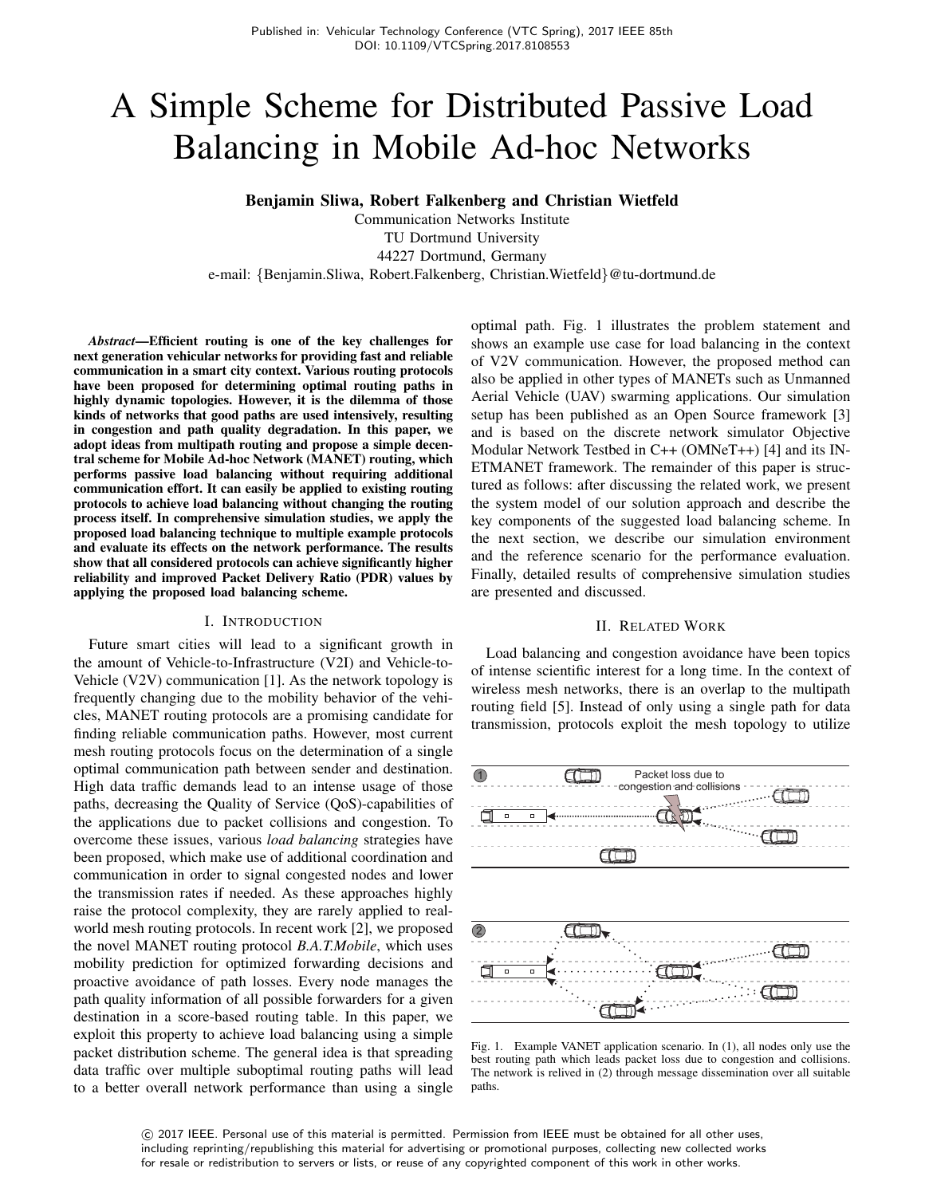# A Simple Scheme for Distributed Passive Load Balancing in Mobile Ad-hoc Networks

Benjamin Sliwa, Robert Falkenberg and Christian Wietfeld

Communication Networks Institute TU Dortmund University 44227 Dortmund, Germany

e-mail: {Benjamin.Sliwa, Robert.Falkenberg, Christian.Wietfeld}@tu-dortmund.de

*Abstract*—Efficient routing is one of the key challenges for next generation vehicular networks for providing fast and reliable communication in a smart city context. Various routing protocols have been proposed for determining optimal routing paths in highly dynamic topologies. However, it is the dilemma of those kinds of networks that good paths are used intensively, resulting in congestion and path quality degradation. In this paper, we adopt ideas from multipath routing and propose a simple decentral scheme for Mobile Ad-hoc Network (MANET) routing, which performs passive load balancing without requiring additional communication effort. It can easily be applied to existing routing protocols to achieve load balancing without changing the routing process itself. In comprehensive simulation studies, we apply the proposed load balancing technique to multiple example protocols and evaluate its effects on the network performance. The results show that all considered protocols can achieve significantly higher reliability and improved Packet Delivery Ratio (PDR) values by applying the proposed load balancing scheme.

### I. INTRODUCTION

Future smart cities will lead to a significant growth in the amount of Vehicle-to-Infrastructure (V2I) and Vehicle-to-Vehicle (V2V) communication [1]. As the network topology is frequently changing due to the mobility behavior of the vehicles, MANET routing protocols are a promising candidate for finding reliable communication paths. However, most current mesh routing protocols focus on the determination of a single optimal communication path between sender and destination. High data traffic demands lead to an intense usage of those paths, decreasing the Quality of Service (QoS)-capabilities of the applications due to packet collisions and congestion. To overcome these issues, various *load balancing* strategies have been proposed, which make use of additional coordination and communication in order to signal congested nodes and lower the transmission rates if needed. As these approaches highly raise the protocol complexity, they are rarely applied to realworld mesh routing protocols. In recent work [2], we proposed the novel MANET routing protocol *B.A.T.Mobile*, which uses mobility prediction for optimized forwarding decisions and proactive avoidance of path losses. Every node manages the path quality information of all possible forwarders for a given destination in a score-based routing table. In this paper, we exploit this property to achieve load balancing using a simple packet distribution scheme. The general idea is that spreading data traffic over multiple suboptimal routing paths will lead to a better overall network performance than using a single

optimal path. Fig. 1 illustrates the problem statement and shows an example use case for load balancing in the context of V2V communication. However, the proposed method can also be applied in other types of MANETs such as Unmanned Aerial Vehicle (UAV) swarming applications. Our simulation setup has been published as an Open Source framework [3] and is based on the discrete network simulator Objective Modular Network Testbed in C++ (OMNeT++) [4] and its IN-ETMANET framework. The remainder of this paper is structured as follows: after discussing the related work, we present the system model of our solution approach and describe the key components of the suggested load balancing scheme. In the next section, we describe our simulation environment and the reference scenario for the performance evaluation. Finally, detailed results of comprehensive simulation studies are presented and discussed.

#### II. RELATED WORK

Load balancing and congestion avoidance have been topics of intense scientific interest for a long time. In the context of wireless mesh networks, there is an overlap to the multipath routing field [5]. Instead of only using a single path for data transmission, protocols exploit the mesh topology to utilize



Fig. 1. Example VANET application scenario. In (1), all nodes only use the best routing path which leads packet loss due to congestion and collisions. The network is relived in (2) through message dissemination over all suitable paths.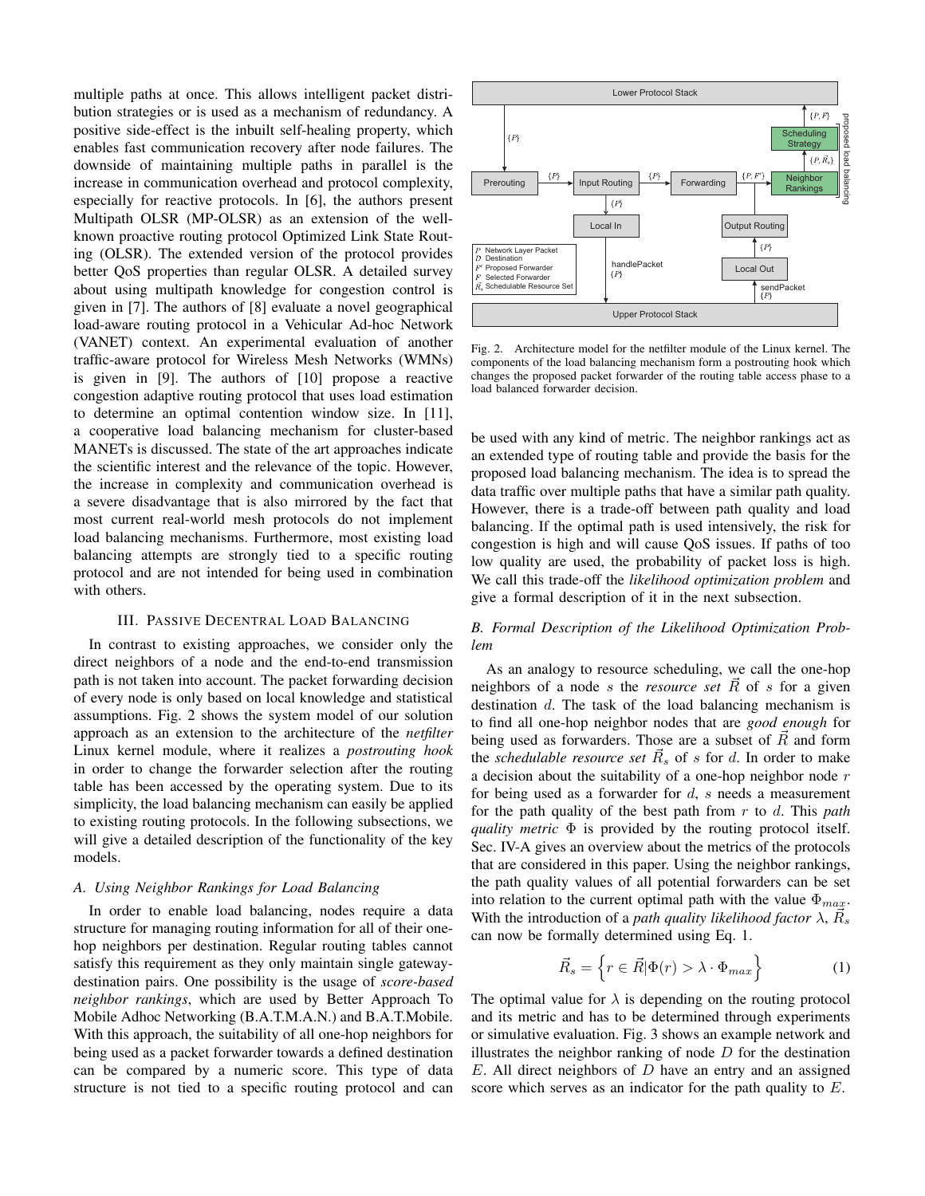multiple paths at once. This allows intelligent packet distribution strategies or is used as a mechanism of redundancy. A positive side-effect is the inbuilt self-healing property, which enables fast communication recovery after node failures. The downside of maintaining multiple paths in parallel is the increase in communication overhead and protocol complexity, especially for reactive protocols. In [6], the authors present Multipath OLSR (MP-OLSR) as an extension of the wellknown proactive routing protocol Optimized Link State Routing (OLSR). The extended version of the protocol provides better QoS properties than regular OLSR. A detailed survey about using multipath knowledge for congestion control is given in [7]. The authors of [8] evaluate a novel geographical load-aware routing protocol in a Vehicular Ad-hoc Network (VANET) context. An experimental evaluation of another traffic-aware protocol for Wireless Mesh Networks (WMNs) is given in [9]. The authors of [10] propose a reactive congestion adaptive routing protocol that uses load estimation to determine an optimal contention window size. In [11], a cooperative load balancing mechanism for cluster-based MANETs is discussed. The state of the art approaches indicate the scientific interest and the relevance of the topic. However, the increase in complexity and communication overhead is a severe disadvantage that is also mirrored by the fact that most current real-world mesh protocols do not implement load balancing mechanisms. Furthermore, most existing load balancing attempts are strongly tied to a specific routing protocol and are not intended for being used in combination with others.

# III. PASSIVE DECENTRAL LOAD BALANCING

In contrast to existing approaches, we consider only the direct neighbors of a node and the end-to-end transmission path is not taken into account. The packet forwarding decision of every node is only based on local knowledge and statistical assumptions. Fig. 2 shows the system model of our solution approach as an extension to the architecture of the *netfilter* Linux kernel module, where it realizes a *postrouting hook* in order to change the forwarder selection after the routing table has been accessed by the operating system. Due to its simplicity, the load balancing mechanism can easily be applied to existing routing protocols. In the following subsections, we will give a detailed description of the functionality of the key models.

# *A. Using Neighbor Rankings for Load Balancing*

In order to enable load balancing, nodes require a data structure for managing routing information for all of their onehop neighbors per destination. Regular routing tables cannot satisfy this requirement as they only maintain single gatewaydestination pairs. One possibility is the usage of *score-based neighbor rankings*, which are used by Better Approach To Mobile Adhoc Networking (B.A.T.M.A.N.) and B.A.T.Mobile. With this approach, the suitability of all one-hop neighbors for being used as a packet forwarder towards a defined destination can be compared by a numeric score. This type of data structure is not tied to a specific routing protocol and can



Fig. 2. Architecture model for the netfilter module of the Linux kernel. The components of the load balancing mechanism form a postrouting hook which changes the proposed packet forwarder of the routing table access phase to a load balanced forwarder decision.

be used with any kind of metric. The neighbor rankings act as an extended type of routing table and provide the basis for the proposed load balancing mechanism. The idea is to spread the data traffic over multiple paths that have a similar path quality. However, there is a trade-off between path quality and load balancing. If the optimal path is used intensively, the risk for congestion is high and will cause QoS issues. If paths of too low quality are used, the probability of packet loss is high. We call this trade-off the *likelihood optimization problem* and give a formal description of it in the next subsection.

# *B. Formal Description of the Likelihood Optimization Problem*

As an analogy to resource scheduling, we call the one-hop neighbors of a node s the *resource set* R~ of s for a given destination d. The task of the load balancing mechanism is to find all one-hop neighbor nodes that are *good enough* for being used as forwarders. Those are a subset of  $\vec{R}$  and form the *schedulable resource set*  $\vec{R}_s$  of s for d. In order to make a decision about the suitability of a one-hop neighbor node  $r$ for being used as a forwarder for  $d$ ,  $s$  needs a measurement for the path quality of the best path from r to d. This *path quality metric* Φ is provided by the routing protocol itself. Sec. IV-A gives an overview about the metrics of the protocols that are considered in this paper. Using the neighbor rankings, the path quality values of all potential forwarders can be set into relation to the current optimal path with the value  $\Phi_{max}$ . With the introduction of a *path quality likelihood factor*  $\lambda$ ,  $\vec{R}_s$ can now be formally determined using Eq. 1.

$$
\vec{R}_s = \left\{ r \in \vec{R} | \Phi(r) > \lambda \cdot \Phi_{max} \right\} \tag{1}
$$

The optimal value for  $\lambda$  is depending on the routing protocol and its metric and has to be determined through experiments or simulative evaluation. Fig. 3 shows an example network and illustrates the neighbor ranking of node  $D$  for the destination  $E$ . All direct neighbors of  $D$  have an entry and an assigned score which serves as an indicator for the path quality to  $E$ .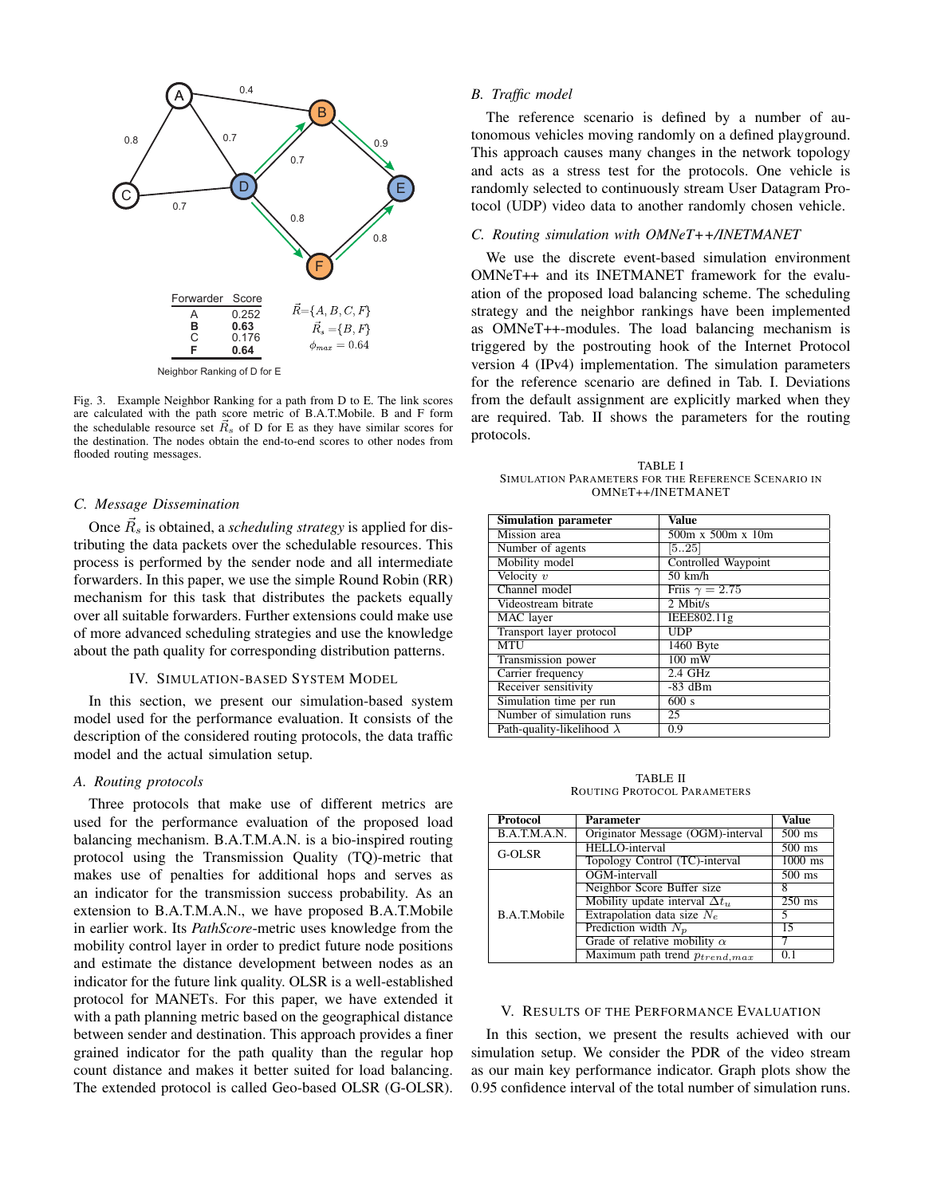

Fig. 3. Example Neighbor Ranking for a path from D to E. The link scores are calculated with the path score metric of B.A.T.Mobile. B and F form the schedulable resource set  $\vec{R}_s$  of D for E as they have similar scores for the destination. The nodes obtain the end-to-end scores to other nodes from flooded routing messages.

### *C. Message Dissemination*

Once  $\vec{R}_s$  is obtained, a *scheduling strategy* is applied for distributing the data packets over the schedulable resources. This process is performed by the sender node and all intermediate forwarders. In this paper, we use the simple Round Robin (RR) mechanism for this task that distributes the packets equally over all suitable forwarders. Further extensions could make use of more advanced scheduling strategies and use the knowledge about the path quality for corresponding distribution patterns.

#### IV. SIMULATION-BASED SYSTEM MODEL

In this section, we present our simulation-based system model used for the performance evaluation. It consists of the description of the considered routing protocols, the data traffic model and the actual simulation setup.

#### *A. Routing protocols*

Three protocols that make use of different metrics are used for the performance evaluation of the proposed load balancing mechanism. B.A.T.M.A.N. is a bio-inspired routing protocol using the Transmission Quality (TQ)-metric that makes use of penalties for additional hops and serves as an indicator for the transmission success probability. As an extension to B.A.T.M.A.N., we have proposed B.A.T.Mobile in earlier work. Its *PathScore*-metric uses knowledge from the mobility control layer in order to predict future node positions and estimate the distance development between nodes as an indicator for the future link quality. OLSR is a well-established protocol for MANETs. For this paper, we have extended it with a path planning metric based on the geographical distance between sender and destination. This approach provides a finer grained indicator for the path quality than the regular hop count distance and makes it better suited for load balancing. The extended protocol is called Geo-based OLSR (G-OLSR).

# *B. Traffic model*

The reference scenario is defined by a number of autonomous vehicles moving randomly on a defined playground. This approach causes many changes in the network topology and acts as a stress test for the protocols. One vehicle is randomly selected to continuously stream User Datagram Protocol (UDP) video data to another randomly chosen vehicle.

# *C. Routing simulation with OMNeT++/INETMANET*

We use the discrete event-based simulation environment OMNeT++ and its INETMANET framework for the evaluation of the proposed load balancing scheme. The scheduling strategy and the neighbor rankings have been implemented as OMNeT++-modules. The load balancing mechanism is triggered by the postrouting hook of the Internet Protocol version 4 (IPv4) implementation. The simulation parameters for the reference scenario are defined in Tab. I. Deviations from the default assignment are explicitly marked when they are required. Tab. II shows the parameters for the routing protocols.

TABLE I SIMULATION PARAMETERS FOR THE REFERENCE SCENARIO IN OMNET++/INETMANET

| <b>Simulation parameter</b>       | Value                         |
|-----------------------------------|-------------------------------|
| Mission area                      | $500m \times 500m \times 10m$ |
| Number of agents                  | [525]                         |
| Mobility model                    | Controlled Waypoint           |
| Velocity $v$                      | $50 \text{ km/h}$             |
| Channel model                     | Friis $\gamma = 2.75$         |
| Videostream bitrate               | 2 Mbit/s                      |
| MAC layer                         | IEEE802.11g                   |
| Transport layer protocol          | UDP                           |
| <b>MTU</b>                        | <b>1460 Byte</b>              |
| Transmission power                | $100$ mW                      |
| Carrier frequency                 | $2.4$ GHz                     |
| Receiver sensitivity              | $-83$ dBm                     |
| Simulation time per run           | 600 s                         |
| Number of simulation runs         | 25                            |
| Path-quality-likelihood $\lambda$ | 0.9                           |

TABLE II ROUTING PROTOCOL PARAMETERS

| <b>Protocol</b> | <b>Parameter</b>                      | Value     |
|-----------------|---------------------------------------|-----------|
| B.A.T.M.A.N.    | Originator Message (OGM)-interval     | $500$ ms  |
| G-OLSR          | <b>HELLO-interval</b>                 | 500 ms    |
|                 | Topology Control (TC)-interval        | $1000$ ms |
| B.A.T.Mobile    | OGM-intervall                         | $500$ ms  |
|                 | Neighbor Score Buffer size            |           |
|                 | Mobility update interval $\Delta t_u$ | $250$ ms  |
|                 | Extrapolation data size $N_e$         |           |
|                 | Prediction width $N_p$                | 15        |
|                 | Grade of relative mobility $\alpha$   |           |
|                 | Maximum path trend $p_{trend, max}$   |           |

#### V. RESULTS OF THE PERFORMANCE EVALUATION

In this section, we present the results achieved with our simulation setup. We consider the PDR of the video stream as our main key performance indicator. Graph plots show the 0.95 confidence interval of the total number of simulation runs.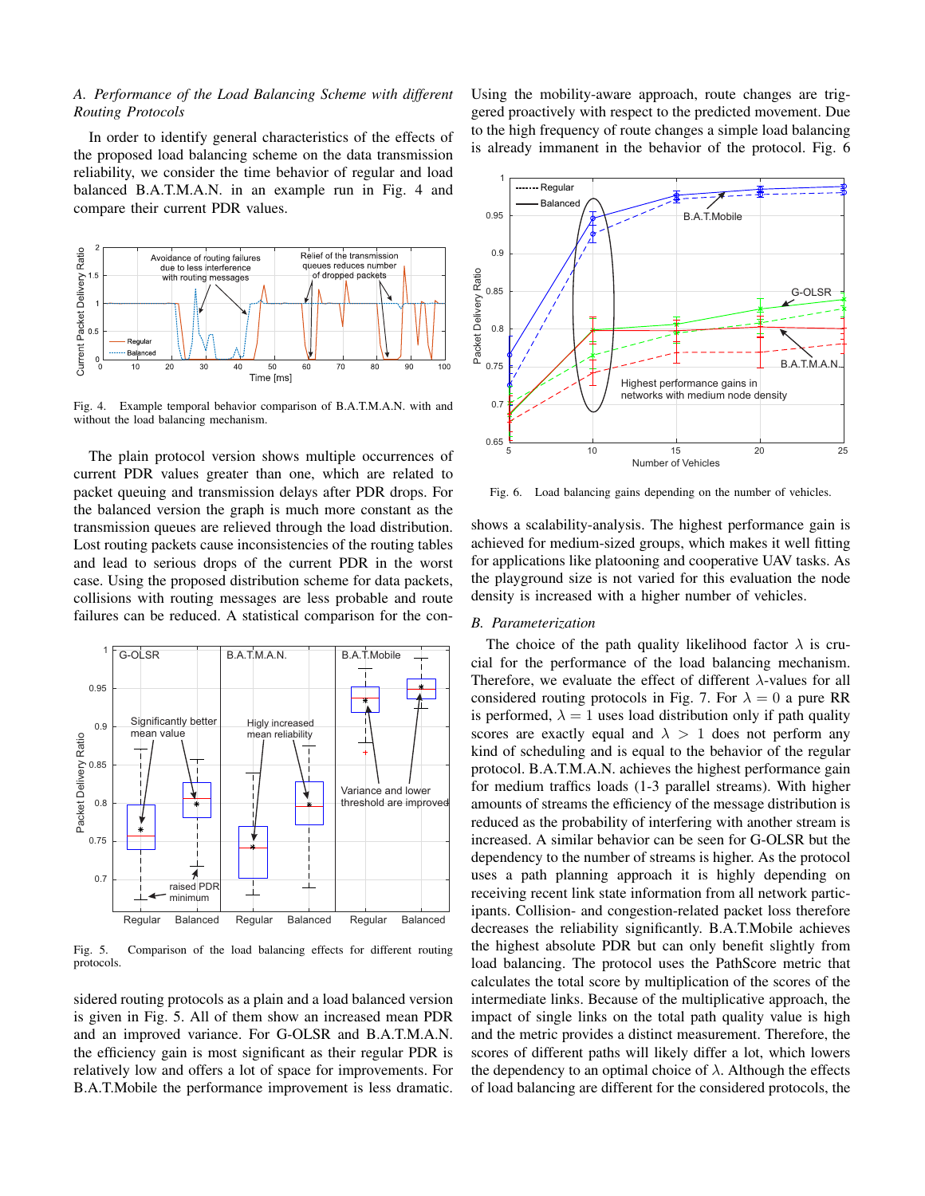## *A. Performance of the Load Balancing Scheme with different Routing Protocols*

In order to identify general characteristics of the effects of the proposed load balancing scheme on the data transmission reliability, we consider the time behavior of regular and load balanced B.A.T.M.A.N. in an example run in Fig. 4 and compare their current PDR values.



Fig. 4. Example temporal behavior comparison of B.A.T.M.A.N. with and without the load balancing mechanism.

The plain protocol version shows multiple occurrences of current PDR values greater than one, which are related to packet queuing and transmission delays after PDR drops. For the balanced version the graph is much more constant as the transmission queues are relieved through the load distribution. Lost routing packets cause inconsistencies of the routing tables and lead to serious drops of the current PDR in the worst case. Using the proposed distribution scheme for data packets, collisions with routing messages are less probable and route failures can be reduced. A statistical comparison for the con-



Fig. 5. Comparison of the load balancing effects for different routing protocols.

sidered routing protocols as a plain and a load balanced version is given in Fig. 5. All of them show an increased mean PDR and an improved variance. For G-OLSR and B.A.T.M.A.N. the efficiency gain is most significant as their regular PDR is relatively low and offers a lot of space for improvements. For B.A.T.Mobile the performance improvement is less dramatic. Using the mobility-aware approach, route changes are triggered proactively with respect to the predicted movement. Due to the high frequency of route changes a simple load balancing is already immanent in the behavior of the protocol. Fig. 6



Fig. 6. Load balancing gains depending on the number of vehicles.

shows a scalability-analysis. The highest performance gain is achieved for medium-sized groups, which makes it well fitting for applications like platooning and cooperative UAV tasks. As the playground size is not varied for this evaluation the node density is increased with a higher number of vehicles.

# *B. Parameterization*

The choice of the path quality likelihood factor  $\lambda$  is crucial for the performance of the load balancing mechanism. Therefore, we evaluate the effect of different  $\lambda$ -values for all considered routing protocols in Fig. 7. For  $\lambda = 0$  a pure RR is performed,  $\lambda = 1$  uses load distribution only if path quality scores are exactly equal and  $\lambda > 1$  does not perform any kind of scheduling and is equal to the behavior of the regular protocol. B.A.T.M.A.N. achieves the highest performance gain for medium traffics loads (1-3 parallel streams). With higher amounts of streams the efficiency of the message distribution is reduced as the probability of interfering with another stream is increased. A similar behavior can be seen for G-OLSR but the dependency to the number of streams is higher. As the protocol uses a path planning approach it is highly depending on receiving recent link state information from all network participants. Collision- and congestion-related packet loss therefore decreases the reliability significantly. B.A.T.Mobile achieves the highest absolute PDR but can only benefit slightly from load balancing. The protocol uses the PathScore metric that calculates the total score by multiplication of the scores of the intermediate links. Because of the multiplicative approach, the impact of single links on the total path quality value is high and the metric provides a distinct measurement. Therefore, the scores of different paths will likely differ a lot, which lowers the dependency to an optimal choice of  $\lambda$ . Although the effects of load balancing are different for the considered protocols, the